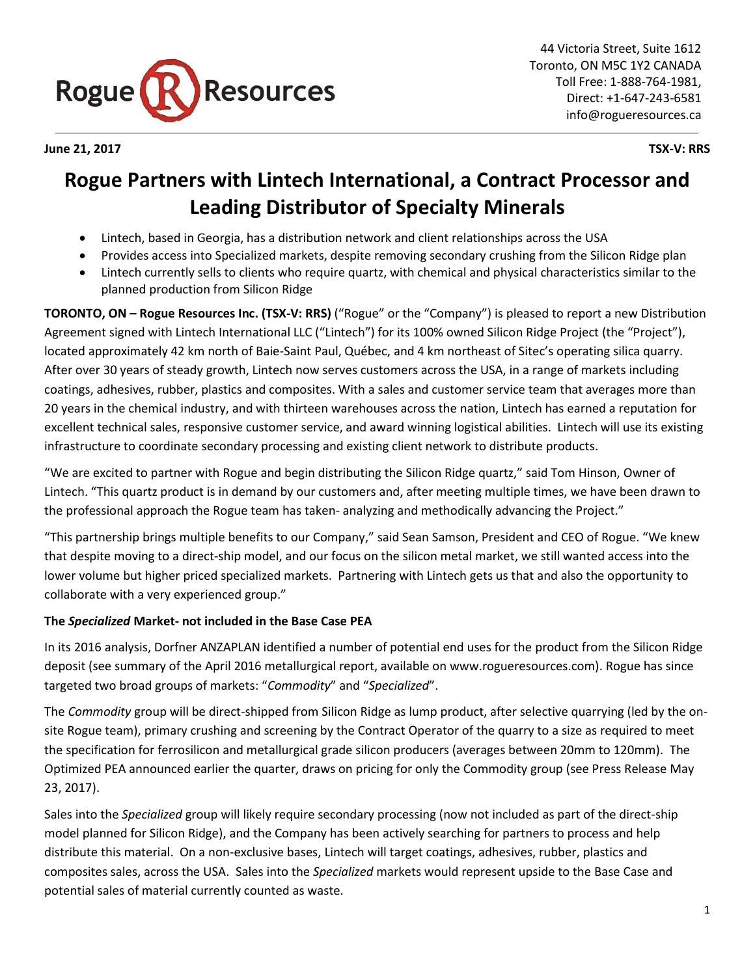

**June 21, 2017 TSX-V: RRS**

# **Rogue Partners with Lintech International, a Contract Processor and Leading Distributor of Specialty Minerals**

- Lintech, based in Georgia, has a distribution network and client relationships across the USA
- Provides access into Specialized markets, despite removing secondary crushing from the Silicon Ridge plan
- Lintech currently sells to clients who require quartz, with chemical and physical characteristics similar to the planned production from Silicon Ridge

**TORONTO, ON – Rogue Resources Inc. (TSX-V: RRS)** ("Rogue" or the "Company") is pleased to report a new Distribution Agreement signed with Lintech International LLC ("Lintech") for its 100% owned Silicon Ridge Project (the "Project"), located approximately 42 km north of Baie-Saint Paul, Québec, and 4 km northeast of Sitec's operating silica quarry. After over 30 years of steady growth, Lintech now serves customers across the USA, in a range of markets including coatings, adhesives, rubber, plastics and composites. With a sales and customer service team that averages more than 20 years in the chemical industry, and with thirteen warehouses across the nation, Lintech has earned a reputation for excellent technical sales, responsive customer service, and award winning logistical abilities. Lintech will use its existing infrastructure to coordinate secondary processing and existing client network to distribute products.

"We are excited to partner with Rogue and begin distributing the Silicon Ridge quartz," said Tom Hinson, Owner of Lintech. "This quartz product is in demand by our customers and, after meeting multiple times, we have been drawn to the professional approach the Rogue team has taken- analyzing and methodically advancing the Project."

"This partnership brings multiple benefits to our Company," said Sean Samson, President and CEO of Rogue. "We knew that despite moving to a direct-ship model, and our focus on the silicon metal market, we still wanted access into the lower volume but higher priced specialized markets. Partnering with Lintech gets us that and also the opportunity to collaborate with a very experienced group."

## **The** *Specialized* **Market- not included in the Base Case PEA**

In its 2016 analysis, Dorfner ANZAPLAN identified a number of potential end uses for the product from the Silicon Ridge deposit (see summary of the April 2016 metallurgical report, available on www.rogueresources.com). Rogue has since targeted two broad groups of markets: "*Commodity*" and "*Specialized*".

The *Commodity* group will be direct-shipped from Silicon Ridge as lump product, after selective quarrying (led by the onsite Rogue team), primary crushing and screening by the Contract Operator of the quarry to a size as required to meet the specification for ferrosilicon and metallurgical grade silicon producers (averages between 20mm to 120mm). The Optimized PEA announced earlier the quarter, draws on pricing for only the Commodity group (see Press Release May 23, 2017).

Sales into the *Specialized* group will likely require secondary processing (now not included as part of the direct-ship model planned for Silicon Ridge), and the Company has been actively searching for partners to process and help distribute this material. On a non-exclusive bases, Lintech will target coatings, adhesives, rubber, plastics and composites sales, across the USA. Sales into the *Specialized* markets would represent upside to the Base Case and potential sales of material currently counted as waste.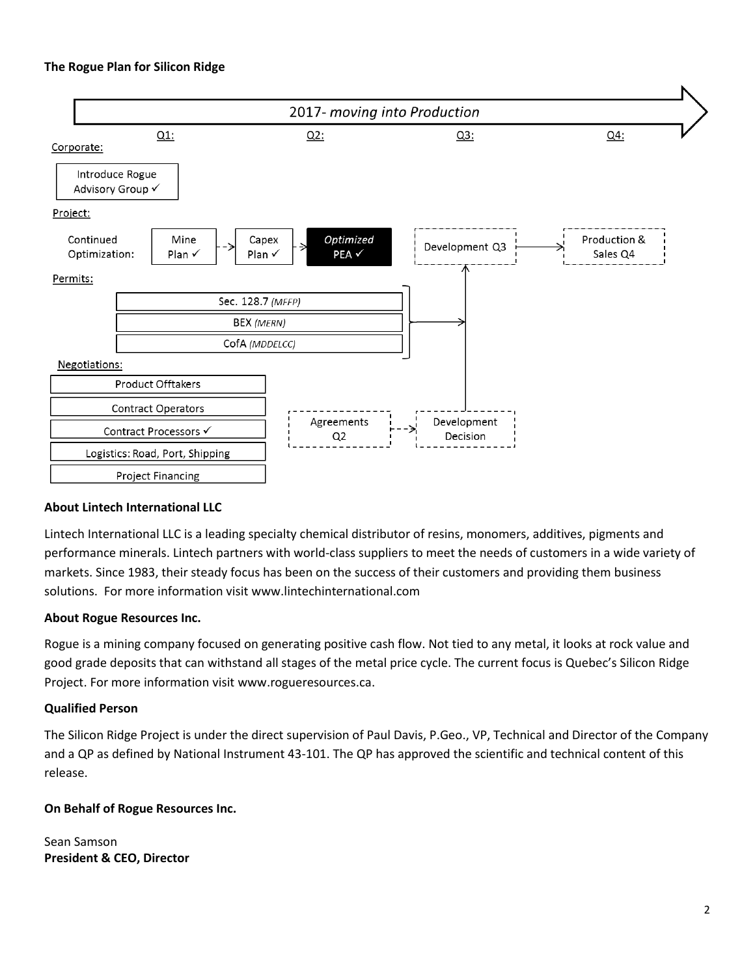#### **The Rogue Plan for Silicon Ridge**



#### **About Lintech International LLC**

Lintech International LLC is a leading specialty chemical distributor of resins, monomers, additives, pigments and performance minerals. Lintech partners with world-class suppliers to meet the needs of customers in a wide variety of markets. Since 1983, their steady focus has been on the success of their customers and providing them business solutions. For more information visit www.lintechinternational.com

#### **About Rogue Resources Inc.**

Rogue is a mining company focused on generating positive cash flow. Not tied to any metal, it looks at rock value and good grade deposits that can withstand all stages of the metal price cycle. The current focus is Quebec's Silicon Ridge Project. For more information visit [www.rogueresources.ca.](http://www.rogueresources.ca/)

#### **Qualified Person**

The Silicon Ridge Project is under the direct supervision of Paul Davis, P.Geo., VP, Technical and Director of the Company and a QP as defined by National Instrument 43-101. The QP has approved the scientific and technical content of this release.

### **On Behalf of Rogue Resources Inc.**

Sean Samson **President & CEO, Director**